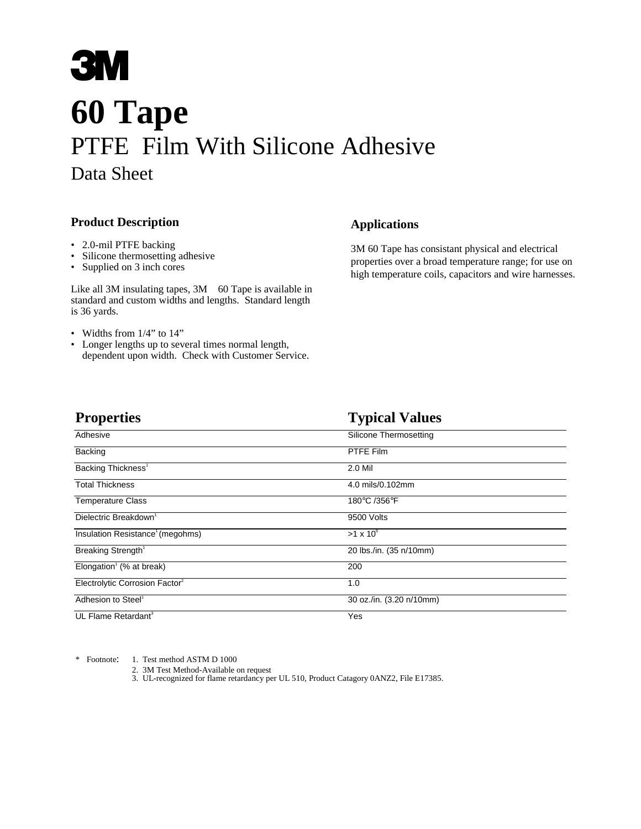## **3M 60 Tape** PTFE Film With Silicone Adhesive Data Sheet

## **Product Description**

- 2.0-mil PTFE backing
- Silicone thermosetting adhesive
- Supplied on 3 inch cores

Like all 3M insulating tapes,  $3M<sup>TM</sup>$  60 Tape is available in standard and custom widths and lengths. Standard length is 36 yards.

- Widths from 1/4" to 14"
- Longer lengths up to several times normal length, dependent upon width. Check with Customer Service.

## **Applications**

3M 60 Tape has consistant physical and electrical properties over a broad temperature range; for use on high temperature coils, capacitors and wire harnesses.

| <b>Properties</b>                                 | <b>Typical Values</b>    |  |
|---------------------------------------------------|--------------------------|--|
| Adhesive                                          | Silicone Thermosetting   |  |
| Backing                                           | PTFE Film                |  |
| Backing Thickness <sup>1</sup>                    | 2.0 Mil                  |  |
| <b>Total Thickness</b>                            | 4.0 mils/0.102mm         |  |
| <b>Temperature Class</b>                          | 180°C /356°F             |  |
| Dielectric Breakdown <sup>1</sup>                 | 9500 Volts               |  |
| Insulation Resistance <sup>1</sup> (megohms)      | $>1 \times 10^6$         |  |
| Breaking Strength <sup>1</sup>                    | 20 lbs./in. (35 n/10mm)  |  |
| Elongation <sup><math>1</math></sup> (% at break) | 200                      |  |
| Electrolytic Corrosion Factor <sup>2</sup>        | 1.0                      |  |
| Adhesion to Steel <sup>1</sup>                    | 30 oz./in. (3.20 n/10mm) |  |
| UL Flame Retardant <sup>3</sup>                   | Yes                      |  |

\* Footnote: 1. Test method ASTM D 1000

- 2. 3M Test Method-Available on request
- 3. UL-recognized for flame retardancy per UL 510, Product Catagory 0ANZ2, File E17385.